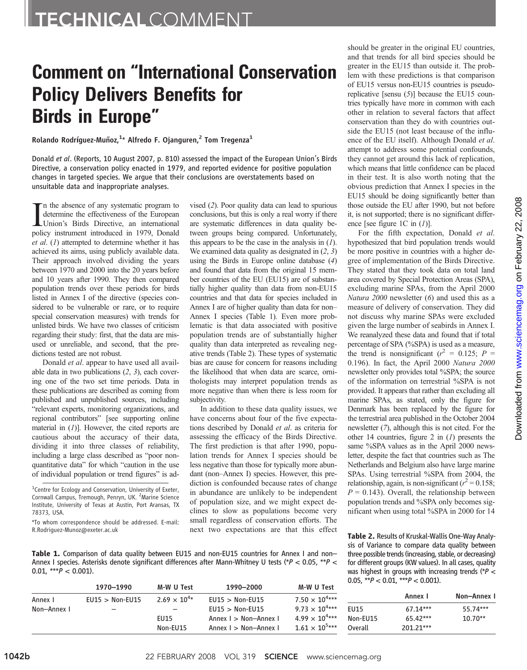## Comment on "International Conservation Policy Delivers Benefits for Birds in Europe"

Rolando Rodríguez-Muñoz,<sup>1</sup>\* Alfredo F. Ojanguren,<sup>2</sup> Tom Tregenza<sup>1</sup>

Donald et al. (Reports, 10 August 2007, p. 810) assessed the impact of the European Union's Birds Directive, a conservation policy enacted in 1979, and reported evidence for positive population changes in targeted species. We argue that their conclusions are overstatements based on unsuitable data and inappropriate analyses.

In the absence of any systematic program to<br>determine the effectiveness of the European<br>Union's Birds Directive, an international<br>policy instrument introduced in 1979, Donald n the absence of any systematic program to determine the effectiveness of the European Union's Birds Directive, an international  $et al. (1)$  attempted to determine whether it has achieved its aims, using publicly available data. Their approach involved dividing the years between 1970 and 2000 into the 20 years before and 10 years after 1990. They then compared population trends over these periods for birds listed in Annex I of the directive (species considered to be vulnerable or rare, or to require special conservation measures) with trends for unlisted birds. We have two classes of criticism regarding their study: first, that the data are misused or unreliable, and second, that the predictions tested are not robust.

Donald et al. appear to have used all available data in two publications  $(2, 3)$ , each covering one of the two set time periods. Data in these publications are described as coming from published and unpublished sources, including "relevant experts, monitoring organizations, and regional contributors" [see supporting online material in  $(I)$ ]. However, the cited reports are cautious about the accuracy of their data, dividing it into three classes of reliability, including a large class described as "poor nonquantitative data" for which "caution in the use of individual population or trend figures" is advised (2). Poor quality data can lead to spurious conclusions, but this is only a real worry if there are systematic differences in data quality between groups being compared. Unfortunately, this appears to be the case in the analysis in  $(1)$ . We examined data quality as designated in  $(2, 3)$ using the Birds in Europe online database (4) and found that data from the original 15 member countries of the EU (EU15) are of substantially higher quality than data from non-EU15 countries and that data for species included in Annex I are of higher quality than data for non– Annex I species (Table 1). Even more problematic is that data associated with positive population trends are of substantially higher quality than data interpreted as revealing negative trends (Table 2). These types of systematic bias are cause for concern for reasons including the likelihood that when data are scarce, ornithologists may interpret population trends as more negative than when there is less room for subjectivity.

In addition to these data quality issues, we have concerns about four of the five expectations described by Donald et al. as criteria for assessing the efficacy of the Birds Directive. The first prediction is that after 1990, population trends for Annex I species should be less negative than those for typically more abundant (non–Annex I) species. However, this prediction is confounded because rates of change in abundance are unlikely to be independent of population size, and we might expect declines to slow as populations become very small regardless of conservation efforts. The next two expectations are that this effect

should be greater in the original EU countries, and that trends for all bird species should be greater in the EU15 than outside it. The problem with these predictions is that comparison of EU15 versus non-EU15 countries is pseudoreplicative [sensu (5)] because the EU15 countries typically have more in common with each other in relation to several factors that affect conservation than they do with countries outside the EU15 (not least because of the influence of the EU itself). Although Donald et al. attempt to address some potential confounds, they cannot get around this lack of replication, which means that little confidence can be placed in their test. It is also worth noting that the obvious prediction that Annex I species in the EU15 should be doing significantly better than those outside the EU after 1990, but not before it, is not supported; there is no significant difference [see figure 1C in  $(I)$ ].

For the fifth expectation, Donald et al. hypothesized that bird population trends would be more positive in countries with a higher degree of implementation of the Birds Directive. They stated that they took data on total land area covered by Special Protection Areas (SPA), excluding marine SPAs, from the April 2000 Natura 2000 newsletter (6) and used this as a measure of delivery of conservation. They did not discuss why marine SPAs were excluded given the large number of seabirds in Annex I. We reanalyzed these data and found that if total percentage of SPA (%SPA) is used as a measure, the trend is nonsignificant ( $r^2 = 0.125$ ; P = 0.196). In fact, the April 2000 Natura 2000 newsletter only provides total %SPA; the source of the information on terrestrial %SPA is not provided. It appears that rather than excluding all marine SPAs, as stated, only the figure for Denmark has been replaced by the figure for the terrestrial area published in the October 2004 newsletter (7), although this is not cited. For the other 14 countries, figure 2 in  $(I)$  presents the same %SPA values as in the April 2000 newsletter, despite the fact that countries such as The Netherlands and Belgium also have large marine SPAs. Using terrestrial %SPA from 2004, the relationship, again, is non-significant ( $r^2 = 0.158$ ;  $P = 0.143$ ). Overall, the relationship between population trends and %SPA only becomes significant when using total %SPA in 2000 for 14

Table 2. Results of Kruskal-Wallis One-Way Analysis of Variance to compare data quality between three possible trends (increasing, stable, or decreasing) for different groups (KW values). In all cases, quality was highest in groups with increasing trends ( $P <$  $0.05$  \*\*P  $\geq 0.01$  \*\*\*P  $\geq 0.001$ 

| <b>Table 1.</b> Comparison of data quality between EU15 and non-EU15 countries for Annex I and non-    |  |  |  |  |  |  |
|--------------------------------------------------------------------------------------------------------|--|--|--|--|--|--|
| Annex I species. Asterisks denote significant differences after Mann-Whitney U tests (*P < 0.05, **P < |  |  |  |  |  |  |
| $0.01.$ *** $P < 0.001$ ).                                                                             |  |  |  |  |  |  |

|             | 1970-1990         | M-W U Test               | 1990-2000                                      | M-W U Test                                         | 0.05, T < 0.01, T < 0.001 |                       |             |
|-------------|-------------------|--------------------------|------------------------------------------------|----------------------------------------------------|---------------------------|-----------------------|-------------|
| Annex I     | $EU15 > Non-EU15$ | $2.69 \times 10^{4*}$    | $EU15 > Non-EU15$                              | $7.50 \times 10^{4***}$                            |                           | Annex I               | Non-Annex I |
| Non-Annex I | -                 | $\overline{\phantom{0}}$ | $EU15 >$ Non-EU15                              | $9.73 \times 10^{4***}$                            | <b>EU15</b>               | $67.14***$            | 55.74***    |
|             |                   | <b>EU15</b><br>Non-EU15  | Annex I > Non-Annex I<br>Annex I > Non-Annex I | $4.99 \times 10^{4***}$<br>$1.61 \times 10^{5***}$ | Non-EU15<br>Overall       | 65.42***<br>201.21*** | $10.70**$   |

<sup>&</sup>lt;sup>1</sup>Centre for Ecology and Conservation, University of Exeter, Cornwall Campus, Tremough, Penryn, UK. <sup>2</sup>Marine Science Institute, University of Texas at Austin, Port Aransas, TX 78373, USA.

<sup>\*</sup>To whom correspondence should be addressed. E-mail: R.Rodriguez-Munoz@exeter.ac.uk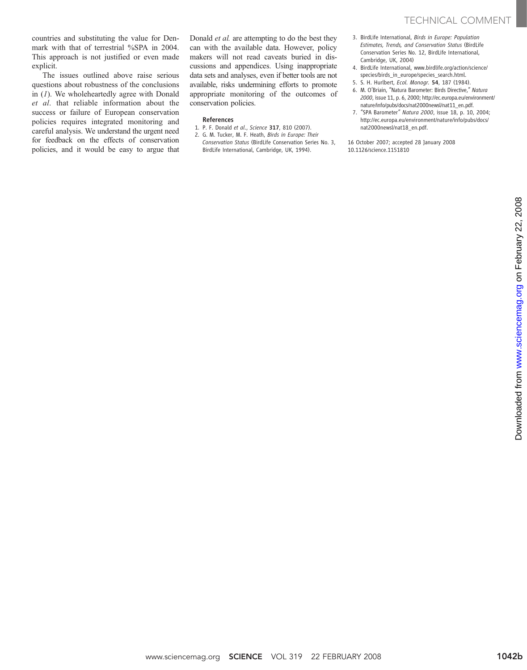countries and substituting the value for Denmark with that of terrestrial %SPA in 2004. This approach is not justified or even made explicit.

The issues outlined above raise serious questions about robustness of the conclusions in (1). We wholeheartedly agree with Donald et al. that reliable information about the success or failure of European conservation policies requires integrated monitoring and careful analysis. We understand the urgent need for feedback on the effects of conservation policies, and it would be easy to argue that Donald et al. are attempting to do the best they can with the available data. However, policy makers will not read caveats buried in discussions and appendices. Using inappropriate data sets and analyses, even if better tools are not available, risks undermining efforts to promote appropriate monitoring of the outcomes of conservation policies.

## References

- 1. P. F. Donald et al., Science 317, 810 (2007).
- 2. G. M. Tucker, M. F. Heath, Birds in Europe: Their Conservation Status (BirdLife Conservation Series No. 3, BirdLife International, Cambridge, UK, 1994).
- 3. BirdLife International, Birds in Europe: Population Estimates, Trends, and Conservation Status (BirdLife Conservation Series No. 12, BirdLife International, Cambridge, UK, 2004)
- 4. BirdLife International, www.birdlife.org/action/science/ species/birds\_in\_europe/species\_search.html.
- 5. S. H. Hurlbert, Ecol. Monogr. 54, 187 (1984).
- 6. M. O'Briain, "Natura Barometer: Birds Directive," Natura 2000, issue 11, p. 6, 2000; http://ec.europa.eu/environment/ nature/info/pubs/docs/nat2000newsl/nat11\_en.pdf.
- 7. "SPA Barometer" Natura 2000, issue 18, p. 10, 2004; http://ec.europa.eu/environment/nature/info/pubs/docs/ nat2000newsl/nat18\_en.pdf.

16 October 2007; accepted 28 January 2008 10.1126/science.1151810